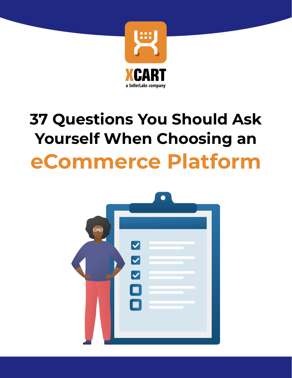

# **37 Questions You Should Ask Yourself When Choosing an eCommerce Platform**

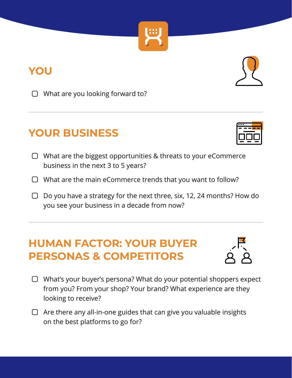#### **YOU**

 $\Box$  What are you looking forward to?

## **YOUR BUSINESS**

- $\Box$  What are the biggest opportunities & threats to your eCommerce business in the next 3 to 5 years?
- $\Box$  What are the main eCommerce trends that you want to follow?
- $\Box$  Do you have a strategy for the next three, six, 12, 24 months? How do you see your business in a decade from now?

## **HUMAN FACTOR: YOUR BUYER PERSONAS & COMPETITORS**

- □ What's your buyer's persona? What do your potential shoppers expect from you? From your shop? Your brand? What experience are they looking to receive?
- $\Box$  Are there any all-in-one guides that can give you valuable insights on the best platforms to go for?







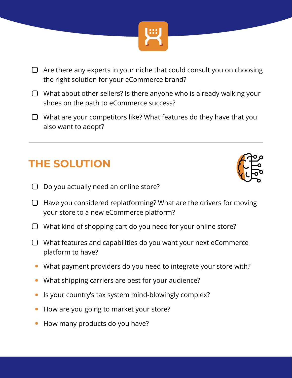

- $\Box$  Are there any experts in your niche that could consult you on choosing the right solution for your eCommerce brand?
- $\Box$  What about other sellers? Is there anyone who is already walking your shoes on the path to eCommerce success?
- $\Box$  What are your competitors like? What features do they have that you also want to adopt?

# **THE SOLUTION**



- $\Box$  Do you actually need an online store?
- $\Box$  Have you considered replatforming? What are the drivers for moving your store to a new eCommerce platform?
- $\Box$  What kind of shopping cart do you need for your online store?
- $\Box$  What features and capabilities do you want your next eCommerce platform to have?
	- What payment providers do you need to integrate your store with?
	- What shipping carriers are best for your audience?
	- Is your country's tax system mind-blowingly complex?
	- How are you going to market your store?
	- How many products do you have?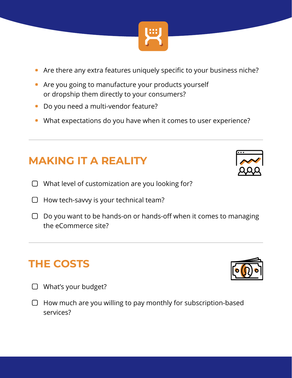

- Are there any extra features uniquely specific to your business niche?
- **Are you going to manufacture your products yourself** or dropship them directly to your consumers?
- **Do you need a multi-vendor feature?**
- What expectations do you have when it comes to user experience?

## **MAKING IT A REALITY**

- $\Box$  What level of customization are you looking for?
- $\Box$  How tech-savvy is your technical team?
- $\Box$  Do you want to be hands-on or hands-off when it comes to managing the eCommerce site?

#### **THE COSTS**

- What's your budget?
- $\Box$  How much are you willing to pay monthly for subscription-based services?